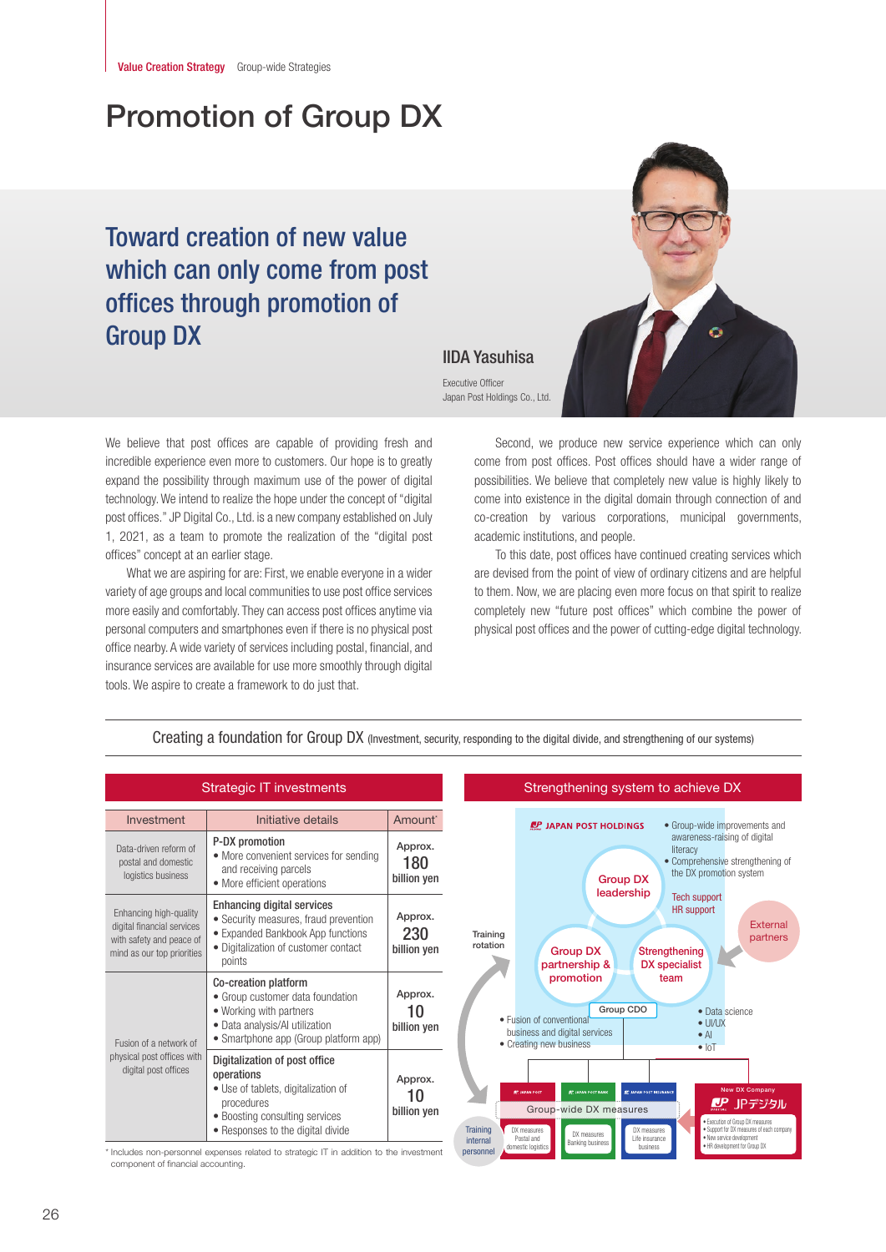# Promotion of Group DX

## Toward creation of new value which can only come from post offices through promotion of Group DX



### IIDA Yasuhisa

Executive Officer Japan Post Holdings Co., Ltd.

We believe that post offices are capable of providing fresh and incredible experience even more to customers. Our hope is to greatly expand the possibility through maximum use of the power of digital technology. We intend to realize the hope under the concept of "digital post offices." JP Digital Co., Ltd. is a new company established on July 1, 2021, as a team to promote the realization of the "digital post offices" concept at an earlier stage.

What we are aspiring for are: First, we enable everyone in a wider variety of age groups and local communities to use post office services more easily and comfortably. They can access post offices anytime via personal computers and smartphones even if there is no physical post office nearby. A wide variety of services including postal, financial, and insurance services are available for use more smoothly through digital tools. We aspire to create a framework to do just that.

Second, we produce new service experience which can only come from post offices. Post offices should have a wider range of possibilities. We believe that completely new value is highly likely to come into existence in the digital domain through connection of and co-creation by various corporations, municipal governments, academic institutions, and people.

To this date, post offices have continued creating services which are devised from the point of view of ordinary citizens and are helpful to them. Now, we are placing even more focus on that spirit to realize completely new "future post offices" which combine the power of physical post offices and the power of cutting-edge digital technology.

| <b>Strategic IT investments</b>                                                                                |                                                                                                                                                                                                                                                                                                 |                               | Strengthening system to achieve DX                                                                                                                                                                                                                                                                                                                                                                                                                                                         |  |
|----------------------------------------------------------------------------------------------------------------|-------------------------------------------------------------------------------------------------------------------------------------------------------------------------------------------------------------------------------------------------------------------------------------------------|-------------------------------|--------------------------------------------------------------------------------------------------------------------------------------------------------------------------------------------------------------------------------------------------------------------------------------------------------------------------------------------------------------------------------------------------------------------------------------------------------------------------------------------|--|
| Investment                                                                                                     | Initiative details                                                                                                                                                                                                                                                                              | Amount <sup>*</sup>           | <b>IP JAPAN POST HOLDINGS</b><br>• Group-wide improvements and                                                                                                                                                                                                                                                                                                                                                                                                                             |  |
| Data-driven reform of<br>postal and domestic<br>logistics business                                             | P-DX promotion<br>• More convenient services for sending<br>and receiving parcels<br>• More efficient operations                                                                                                                                                                                | Approx.<br>180<br>billion yen | awareness-raising of digital<br>literacy<br>• Comprehensive strengthening of<br>the DX promotion system<br><b>Group DX</b><br>leadership                                                                                                                                                                                                                                                                                                                                                   |  |
| Enhancing high-quality<br>digital financial services<br>with safety and peace of<br>mind as our top priorities | <b>Enhancing digital services</b><br>• Security measures, fraud prevention<br>• Expanded Bankbook App functions<br>· Digitalization of customer contact<br>points                                                                                                                               | Approx.<br>230<br>billion yen | <b>Tech support</b><br><b>HR</b> support<br><b>External</b><br>Training<br>partners<br>rotation<br><b>Group DX</b><br>Strengthening<br>partnership &<br><b>DX</b> specialist                                                                                                                                                                                                                                                                                                               |  |
| Fusion of a network of<br>physical post offices with<br>digital post offices                                   | Co-creation platform<br>• Group customer data foundation<br>• Working with partners<br>• Data analysis/Al utilization<br>• Smartphone app (Group platform app)                                                                                                                                  | Approx.<br>10<br>billion yen  | promotion<br>team<br>Group CDO<br>• Data science<br>• Fusion of conventional<br>$\bullet$ UI/UX<br>business and digital services<br>$\bullet$ Al<br>• Creating new business<br>$\bullet$ $ 0$ <sup>T</sup>                                                                                                                                                                                                                                                                                 |  |
|                                                                                                                | Digitalization of post office<br>operations<br>• Use of tablets, digitalization of<br>procedures<br>• Boosting consulting services<br>• Responses to the digital divide<br>the state of the state of the state of the state of the state of the state of the state of the state of the state of | Approx.<br>10<br>billion yen  | <b>New DX Company</b><br><b>AP JAPAN POST BANK</b><br><b>EP JAPAN POST INSURANCE</b><br><b><i>BP. JAPAN POST</i></b><br><i>DP</i> JPデジタル<br>Group-wide DX measures<br>· Execution of Group DX measures<br><b>Training</b><br>· Support for DX measures of each company<br>DX measures<br>DX measures<br>DX measures<br>· New service development<br>Life insurance<br>Postal and<br>internal<br><b>Banking business</b><br>. HR development for Group DX<br>domestic logistics<br>business |  |

personnel

#### Creating a foundation for Group DX (Investment, security, responding to the digital divide, and strengthening of our systems)

\* Includes non-personnel expenses related to strategic IT in addition to the investment component of financial accounting.